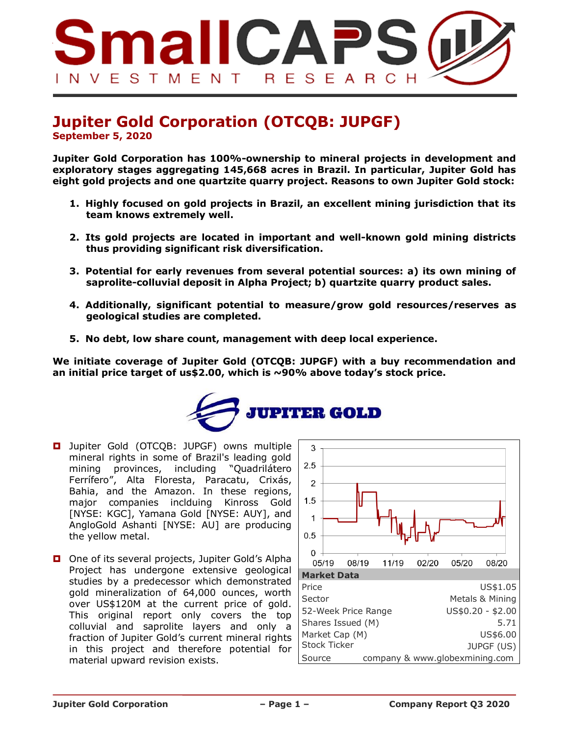

### **Jupiter Gold Corporation (OTCQB: JUPGF) September 5, 2020**

**Jupiter Gold Corporation has 100%-ownership to mineral projects in development and exploratory stages aggregating 145,668 acres in Brazil. In particular, Jupiter Gold has eight gold projects and one quartzite quarry project. Reasons to own Jupiter Gold stock:**

- **1. Highly focused on gold projects in Brazil, an excellent mining jurisdiction that its team knows extremely well.**
- **2. Its gold projects are located in important and well-known gold mining districts thus providing significant risk diversification.**
- **3. Potential for early revenues from several potential sources: a) its own mining of saprolite-colluvial deposit in Alpha Project; b) quartzite quarry product sales.**
- **4. Additionally, significant potential to measure/grow gold resources/reserves as geological studies are completed.**
- **5. No debt, low share count, management with deep local experience.**

**We initiate coverage of Jupiter Gold (OTCQB: JUPGF) with a buy recommendation and an initial price target of us\$2.00, which is ~90% above today's stock price.**



- **D** Jupiter Gold (OTCQB: JUPGF) owns multiple mineral rights in some of Brazil's leading gold mining provinces, including "Quadrilátero Ferrífero", Alta Floresta, Paracatu, Crixás, Bahia, and the Amazon. In these regions, major companies inclduing Kinross Gold [NYSE: KGC], Yamana Gold [NYSE: AUY], and AngloGold Ashanti [NYSE: AU] are producing the yellow metal.
- One of its several projects, Jupiter Gold's Alpha Project has undergone extensive geological studies by a predecessor which demonstrated gold mineralization of 64,000 ounces, worth over US\$120M at the current price of gold. This original report only covers the top colluvial and saprolite layers and only a fraction of Jupiter Gold's current mineral rights in this project and therefore potential for material upward revision exists.

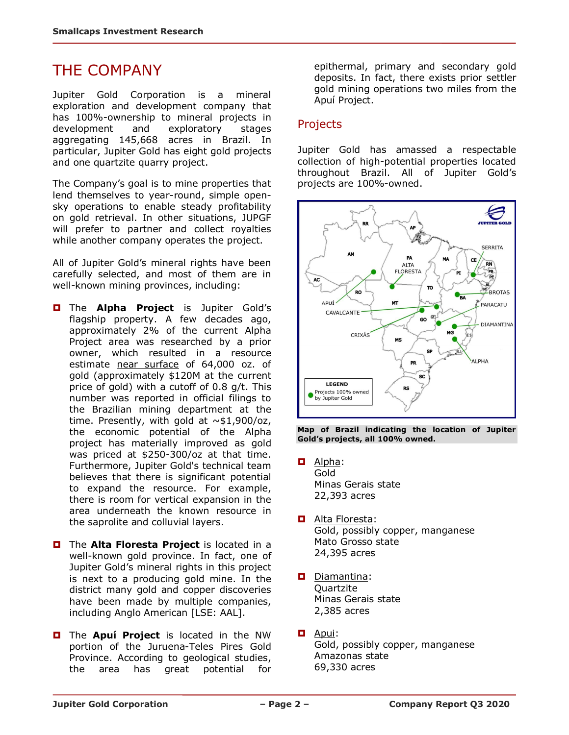## THE COMPANY

Jupiter Gold Corporation is a mineral exploration and development company that has 100%-ownership to mineral projects in development and exploratory stages aggregating 145,668 acres in Brazil. In particular, Jupiter Gold has eight gold projects and one quartzite quarry project.

The Company's goal is to mine properties that lend themselves to year-round, simple opensky operations to enable steady profitability on gold retrieval. In other situations, JUPGF will prefer to partner and collect royalties while another company operates the project.

All of Jupiter Gold's mineral rights have been carefully selected, and most of them are in well-known mining provinces, including:

- $\Box$  The **Alpha Project** is Jupiter Gold's flagship property. A few decades ago, approximately 2% of the current Alpha Project area was researched by a prior owner, which resulted in a resource estimate near surface of 64,000 oz. of gold (approximately \$120M at the current price of gold) with a cutoff of 0.8 g/t. This number was reported in official filings to the Brazilian mining department at the time. Presently, with gold at  $\sim$ \$1,900/oz, the economic potential of the Alpha project has materially improved as gold was priced at \$250-300/oz at that time. Furthermore, Jupiter Gold's technical team believes that there is significant potential to expand the resource. For example, there is room for vertical expansion in the area underneath the known resource in the saprolite and colluvial layers.
- $\Box$  The **Alta Floresta Project** is located in a well-known gold province. In fact, one of Jupiter Gold's mineral rights in this project is next to a producing gold mine. In the district many gold and copper discoveries have been made by multiple companies, including Anglo American [LSE: AAL].
- The **Apuí Project** is located in the NW portion of the Juruena-Teles Pires Gold Province. According to geological studies, the area has great potential for

epithermal, primary and secondary gold deposits. In fact, there exists prior settler gold mining operations two miles from the Apuí Project.

#### Projects

Jupiter Gold has amassed a respectable collection of high-potential properties located throughout Brazil. All of Jupiter Gold's projects are 100%-owned.



**Map of Brazil indicating the location of Jupiter Gold's projects, all 100% owned.**

- **D** Alpha: Gold Minas Gerais state 22,393 acres
- Alta Floresta: Gold, possibly copper, manganese Mato Grosso state 24,395 acres
- Diamantina: **Ouartzite** Minas Gerais state 2,385 acres
- **D** Apui: Gold, possibly copper, manganese Amazonas state 69,330 acres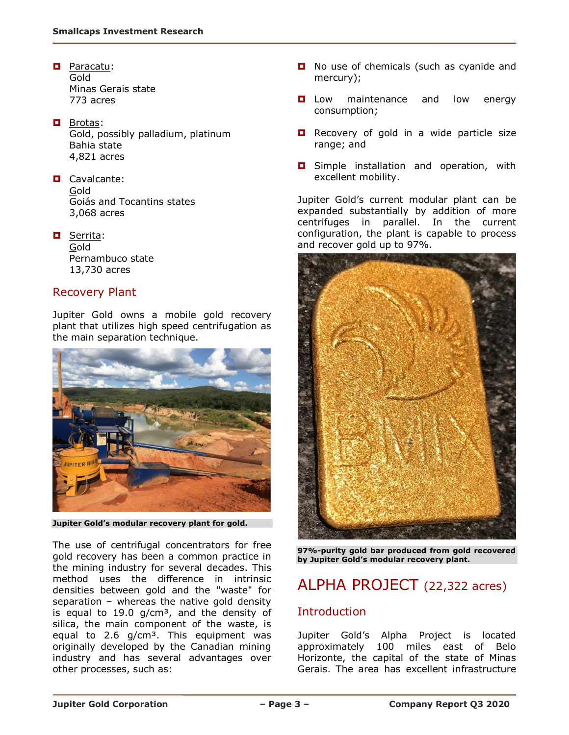- **D** Paracatu: Gold Minas Gerais state 773 acres
- **D** Brotas: Gold, possibly palladium, platinum Bahia state 4,821 acres
- **D** Cavalcante: Gold Goiás and Tocantins states 3,068 acres
- **D** Serrita: Gold Pernambuco state 13,730 acres

#### Recovery Plant

Jupiter Gold owns a mobile gold recovery plant that utilizes high speed centrifugation as the main separation technique.



**Jupiter Gold's modular recovery plant for gold.**

The use of centrifugal concentrators for free gold recovery has been a common practice in the mining industry for several decades. This method uses the difference in intrinsic densities between gold and the "waste" for separation – whereas the native gold density is equal to 19.0  $g/cm<sup>3</sup>$ , and the density of silica, the main component of the waste, is equal to  $2.6$  g/cm<sup>3</sup>. This equipment was originally developed by the Canadian mining industry and has several advantages over other processes, such as:

- No use of chemicals (such as cyanide and mercury);
- **L** Low maintenance and low energy consumption;
- Recovery of gold in a wide particle size range; and
- **D** Simple installation and operation, with excellent mobility.

Jupiter Gold's current modular plant can be expanded substantially by addition of more centrifuges in parallel. In the current configuration, the plant is capable to process and recover gold up to 97%.



**97%-purity gold bar produced from gold recovered by Jupiter Gold's modular recovery plant.**

# ALPHA PROJECT (22,322 acres)

### **Introduction**

Jupiter Gold's Alpha Project is located approximately 100 miles east of Belo Horizonte, the capital of the state of Minas Gerais. The area has excellent infrastructure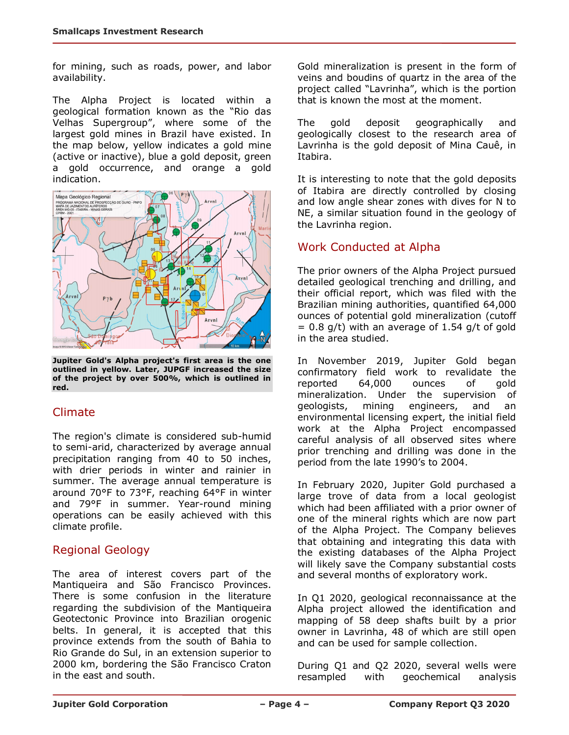for mining, such as roads, power, and labor availability.

The Alpha Project is located within a geological formation known as the "Rio das Velhas Supergroup", where some of the largest gold mines in Brazil have existed. In the map below, yellow indicates a gold mine (active or inactive), blue a gold deposit, green a gold occurrence, and orange a gold indication.



**Jupiter Gold's Alpha project's first area is the one outlined in yellow. Later, JUPGF increased the size of the project by over 500%, which is outlined in red.**

### Climate

The region's climate is considered sub-humid to semi-arid, characterized by average annual precipitation ranging from 40 to 50 inches, with drier periods in winter and rainier in summer. The average annual temperature is around 70°F to 73°F, reaching 64°F in winter and 79°F in summer. Year-round mining operations can be easily achieved with this climate profile.

### Regional Geology

The area of interest covers part of the Mantiqueira and São Francisco Provinces. There is some confusion in the literature regarding the subdivision of the Mantiqueira Geotectonic Province into Brazilian orogenic belts. In general, it is accepted that this province extends from the south of Bahia to Rio Grande do Sul, in an extension superior to 2000 km, bordering the São Francisco Craton in the east and south.

Gold mineralization is present in the form of veins and boudins of quartz in the area of the project called "Lavrinha", which is the portion that is known the most at the moment.

The gold deposit geographically and geologically closest to the research area of Lavrinha is the gold deposit of Mina Cauê, in Itabira.

It is interesting to note that the gold deposits of Itabira are directly controlled by closing and low angle shear zones with dives for N to NE, a similar situation found in the geology of the Lavrinha region.

#### Work Conducted at Alpha

The prior owners of the Alpha Project pursued detailed geological trenching and drilling, and their official report, which was filed with the Brazilian mining authorities, quantified 64,000 ounces of potential gold mineralization (cutoff  $= 0.8$  g/t) with an average of 1.54 g/t of gold in the area studied.

In November 2019, Jupiter Gold began confirmatory field work to revalidate the reported 64,000 ounces of gold mineralization. Under the supervision of geologists, mining engineers, and an environmental licensing expert, the initial field work at the Alpha Project encompassed careful analysis of all observed sites where prior trenching and drilling was done in the period from the late 1990's to 2004.

In February 2020, Jupiter Gold purchased a large trove of data from a local geologist which had been affiliated with a prior owner of one of the mineral rights which are now part of the Alpha Project. The Company believes that obtaining and integrating this data with the existing databases of the Alpha Project will likely save the Company substantial costs and several months of exploratory work.

In Q1 2020, geological reconnaissance at the Alpha project allowed the identification and mapping of 58 deep shafts built by a prior owner in Lavrinha, 48 of which are still open and can be used for sample collection.

During Q1 and Q2 2020, several wells were resampled with geochemical analysis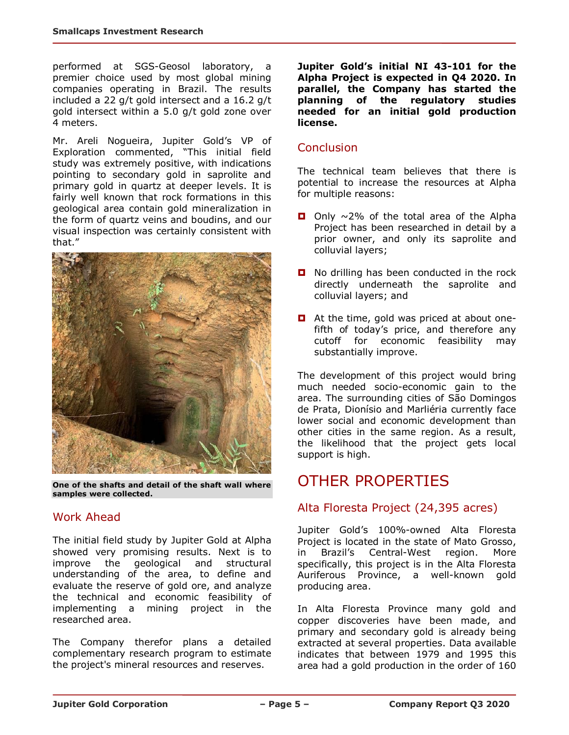performed at SGS-Geosol laboratory, a premier choice used by most global mining companies operating in Brazil. The results included a 22 g/t gold intersect and a 16.2 g/t gold intersect within a 5.0 g/t gold zone over 4 meters.

Mr. Areli Nogueira, Jupiter Gold's VP of Exploration commented, "This initial field study was extremely positive, with indications pointing to secondary gold in saprolite and primary gold in quartz at deeper levels. It is fairly well known that rock formations in this geological area contain gold mineralization in the form of quartz veins and boudins, and our visual inspection was certainly consistent with that."



**One of the shafts and detail of the shaft wall where samples were collected.**

### Work Ahead

The initial field study by Jupiter Gold at Alpha showed very promising results. Next is to improve the geological and structural understanding of the area, to define and evaluate the reserve of gold ore, and analyze the technical and economic feasibility of implementing a mining project in the researched area.

The Company therefor plans a detailed complementary research program to estimate the project's mineral resources and reserves.

**Jupiter Gold's initial NI 43-101 for the Alpha Project is expected in Q4 2020. In parallel, the Company has started the planning of the regulatory studies needed for an initial gold production license.**

#### Conclusion

The technical team believes that there is potential to increase the resources at Alpha for multiple reasons:

- Only  $\sim$ 2% of the total area of the Alpha Project has been researched in detail by a prior owner, and only its saprolite and colluvial layers;
- $\Box$  No drilling has been conducted in the rock directly underneath the saprolite and colluvial layers; and
- **D** At the time, gold was priced at about onefifth of today's price, and therefore any cutoff for economic feasibility may substantially improve.

The development of this project would bring much needed socio-economic gain to the area. The surrounding cities of São Domingos de Prata, Dionísio and Marliéria currently face lower social and economic development than other cities in the same region. As a result, the likelihood that the project gets local support is high.

# OTHER PROPERTIES

### Alta Floresta Project (24,395 acres)

Jupiter Gold's 100%-owned Alta Floresta Project is located in the state of Mato Grosso, in Brazil's Central-West region. More specifically, this project is in the Alta Floresta Auriferous Province, a well-known gold producing area.

In Alta Floresta Province many gold and copper discoveries have been made, and primary and secondary gold is already being extracted at several properties. Data available indicates that between 1979 and 1995 this area had a gold production in the order of 160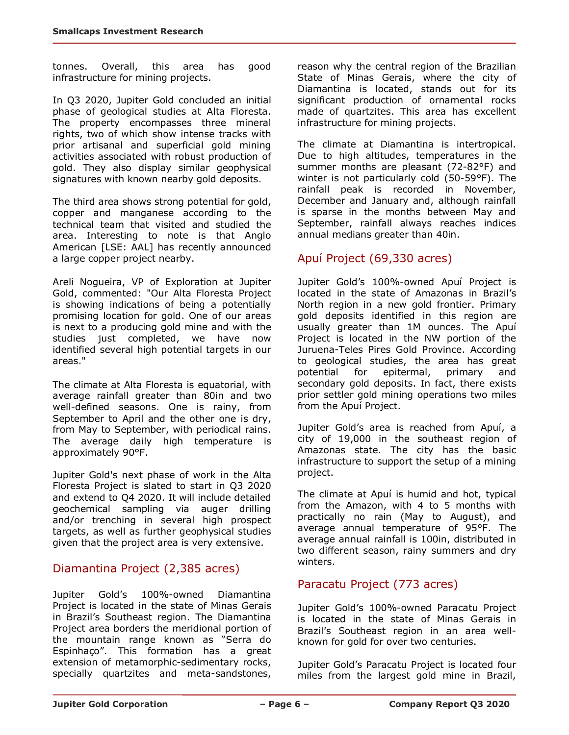tonnes. Overall, this area has good infrastructure for mining projects.

In Q3 2020, Jupiter Gold concluded an initial phase of geological studies at Alta Floresta. The property encompasses three mineral rights, two of which show intense tracks with prior artisanal and superficial gold mining activities associated with robust production of gold. They also display similar geophysical signatures with known nearby gold deposits.

The third area shows strong potential for gold, copper and manganese according to the technical team that visited and studied the area. Interesting to note is that Anglo American [LSE: AAL] has recently announced a large copper project nearby.

Areli Nogueira, VP of Exploration at Jupiter Gold, commented: "Our Alta Floresta Project is showing indications of being a potentially promising location for gold. One of our areas is next to a producing gold mine and with the studies just completed, we have now identified several high potential targets in our areas."

The climate at Alta Floresta is equatorial, with average rainfall greater than 80in and two well-defined seasons. One is rainy, from September to April and the other one is dry, from May to September, with periodical rains. The average daily high temperature is approximately 90°F.

Jupiter Gold's next phase of work in the Alta Floresta Project is slated to start in Q3 2020 and extend to Q4 2020. It will include detailed geochemical sampling via auger drilling and/or trenching in several high prospect targets, as well as further geophysical studies given that the project area is very extensive.

#### Diamantina Project (2,385 acres)

Jupiter Gold's 100%-owned Diamantina Project is located in the state of Minas Gerais in Brazil's Southeast region. The Diamantina Project area borders the meridional portion of the mountain range known as "Serra do Espinhaço". This formation has a great extension of metamorphic-sedimentary rocks, specially quartzites and meta-sandstones, reason why the central region of the Brazilian State of Minas Gerais, where the city of Diamantina is located, stands out for its significant production of ornamental rocks made of quartzites. This area has excellent infrastructure for mining projects.

The climate at Diamantina is intertropical. Due to high altitudes, temperatures in the summer months are pleasant (72-82°F) and winter is not particularly cold (50-59°F). The rainfall peak is recorded in November, December and January and, although rainfall is sparse in the months between May and September, rainfall always reaches indices annual medians greater than 40in.

#### Apuí Project (69,330 acres)

Jupiter Gold's 100%-owned Apuí Project is located in the state of Amazonas in Brazil's North region in a new gold frontier. Primary gold deposits identified in this region are usually greater than 1M ounces. The Apuí Project is located in the NW portion of the Juruena-Teles Pires Gold Province. According to geological studies, the area has great potential for epitermal, primary and secondary gold deposits. In fact, there exists prior settler gold mining operations two miles from the Apuí Project.

Jupiter Gold's area is reached from Apuí, a city of 19,000 in the southeast region of Amazonas state. The city has the basic infrastructure to support the setup of a mining project.

The climate at Apuí is humid and hot, typical from the Amazon, with 4 to 5 months with practically no rain (May to August), and average annual temperature of 95°F. The average annual rainfall is 100in, distributed in two different season, rainy summers and dry winters.

#### Paracatu Project (773 acres)

Jupiter Gold's 100%-owned Paracatu Project is located in the state of Minas Gerais in Brazil's Southeast region in an area wellknown for gold for over two centuries.

Jupiter Gold's Paracatu Project is located four miles from the largest gold mine in Brazil,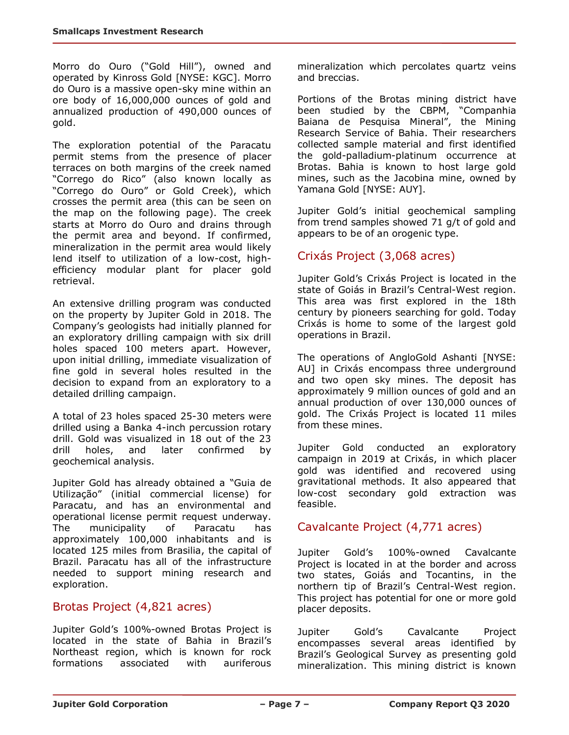Morro do Ouro ("Gold Hill"), owned and operated by Kinross Gold [NYSE: KGC]. Morro do Ouro is a massive open-sky mine within an ore body of 16,000,000 ounces of gold and annualized production of 490,000 ounces of gold.

The exploration potential of the Paracatu permit stems from the presence of placer terraces on both margins of the creek named "Corrego do Rico" (also known locally as "Corrego do Ouro" or Gold Creek), which crosses the permit area (this can be seen on the map on the following page). The creek starts at Morro do Ouro and drains through the permit area and beyond. If confirmed, mineralization in the permit area would likely lend itself to utilization of a low-cost, highefficiency modular plant for placer gold retrieval.

An extensive drilling program was conducted on the property by Jupiter Gold in 2018. The Company's geologists had initially planned for an exploratory drilling campaign with six drill holes spaced 100 meters apart. However, upon initial drilling, immediate visualization of fine gold in several holes resulted in the decision to expand from an exploratory to a detailed drilling campaign.

A total of 23 holes spaced 25-30 meters were drilled using a Banka 4-inch percussion rotary drill. Gold was visualized in 18 out of the 23 drill holes, and later confirmed by geochemical analysis.

Jupiter Gold has already obtained a "Guia de Utilização" (initial commercial license) for Paracatu, and has an environmental and operational license permit request underway. The municipality of Paracatu has approximately 100,000 inhabitants and is located 125 miles from Brasilia, the capital of Brazil. Paracatu has all of the infrastructure needed to support mining research and exploration.

#### Brotas Project (4,821 acres)

Jupiter Gold's 100%-owned Brotas Project is located in the state of Bahia in Brazil's Northeast region, which is known for rock<br>formations associated with auriferous formations associated with auriferous

mineralization which percolates quartz veins and breccias.

Portions of the Brotas mining district have been studied by the CBPM, "Companhia Baiana de Pesquisa Mineral", the Mining Research Service of Bahia. Their researchers collected sample material and first identified the gold-palladium-platinum occurrence at Brotas. Bahia is known to host large gold mines, such as the Jacobina mine, owned by Yamana Gold [NYSE: AUY].

Jupiter Gold's initial geochemical sampling from trend samples showed 71 g/t of gold and appears to be of an orogenic type.

### Crixás Project (3,068 acres)

Jupiter Gold's Crixás Project is located in the state of Goiás in Brazil's Central-West region. This area was first explored in the 18th century by pioneers searching for gold. Today Crixás is home to some of the largest gold operations in Brazil.

The operations of AngloGold Ashanti [NYSE: AU] in Crixás encompass three underground and two open sky mines. The deposit has approximately 9 million ounces of gold and an annual production of over 130,000 ounces of gold. The Crixás Project is located 11 miles from these mines.

Jupiter Gold conducted an exploratory campaign in 2019 at Crixás, in which placer gold was identified and recovered using gravitational methods. It also appeared that low-cost secondary gold extraction was feasible.

#### Cavalcante Project (4,771 acres)

Jupiter Gold's 100%-owned Cavalcante Project is located in at the border and across two states, Goiás and Tocantins, in the northern tip of Brazil's Central-West region. This project has potential for one or more gold placer deposits.

Jupiter Gold's Cavalcante Project encompasses several areas identified by Brazil's Geological Survey as presenting gold mineralization. This mining district is known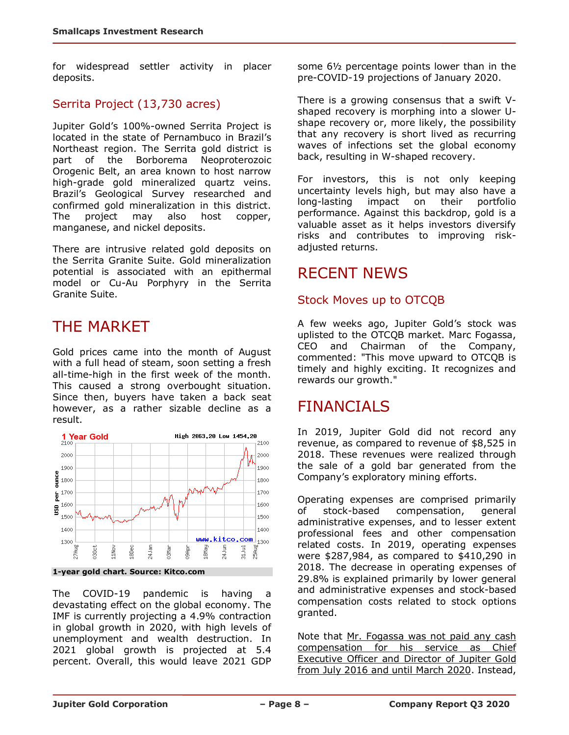for widespread settler activity in placer deposits.

#### Serrita Project (13,730 acres)

Jupiter Gold's 100%-owned Serrita Project is located in the state of Pernambuco in Brazil's Northeast region. The Serrita gold district is part of the Borborema Neoproterozoic Orogenic Belt, an area known to host narrow high-grade gold mineralized quartz veins. Brazil's Geological Survey researched and confirmed gold mineralization in this district. The project may also host copper, manganese, and nickel deposits.

There are intrusive related gold deposits on the Serrita Granite Suite. Gold mineralization potential is associated with an epithermal model or Cu-Au Porphyry in the Serrita Granite Suite.

## THE MARKET

Gold prices came into the month of August with a full head of steam, soon setting a fresh all-time-high in the first week of the month. This caused a strong overbought situation. Since then, buyers have taken a back seat however, as a rather sizable decline as a result.



**1-year gold chart. Source: Kitco.com** 

The COVID-19 pandemic is having a devastating effect on the global economy. The IMF is currently projecting a 4.9% contraction in global growth in 2020, with high levels of unemployment and wealth destruction. In 2021 global growth is projected at 5.4 percent. Overall, this would leave 2021 GDP some 6½ percentage points lower than in the pre-COVID-19 projections of January 2020.

There is a growing consensus that a swift Vshaped recovery is morphing into a slower Ushape recovery or, more likely, the possibility that any recovery is short lived as recurring waves of infections set the global economy back, resulting in W-shaped recovery.

For investors, this is not only keeping uncertainty levels high, but may also have a long-lasting impact on their portfolio performance. Against this backdrop, gold is a valuable asset as it helps investors diversify risks and contributes to improving riskadjusted returns.

### RECENT NEWS

#### Stock Moves up to OTCQB

A few weeks ago, Jupiter Gold's stock was uplisted to the OTCQB market. Marc Fogassa, CEO and Chairman of the Company, commented: "This move upward to OTCQB is timely and highly exciting. It recognizes and rewards our growth."

## FINANCIALS

In 2019, Jupiter Gold did not record any revenue, as compared to revenue of \$8,525 in 2018. These revenues were realized through the sale of a gold bar generated from the Company's exploratory mining efforts.

Operating expenses are comprised primarily of stock-based compensation, general administrative expenses, and to lesser extent professional fees and other compensation related costs. In 2019, operating expenses were \$287,984, as compared to \$410,290 in 2018. The decrease in operating expenses of 29.8% is explained primarily by lower general and administrative expenses and stock-based compensation costs related to stock options granted.

Note that Mr. Fogassa was not paid any cash compensation for his service as Chief Executive Officer and Director of Jupiter Gold from July 2016 and until March 2020. Instead,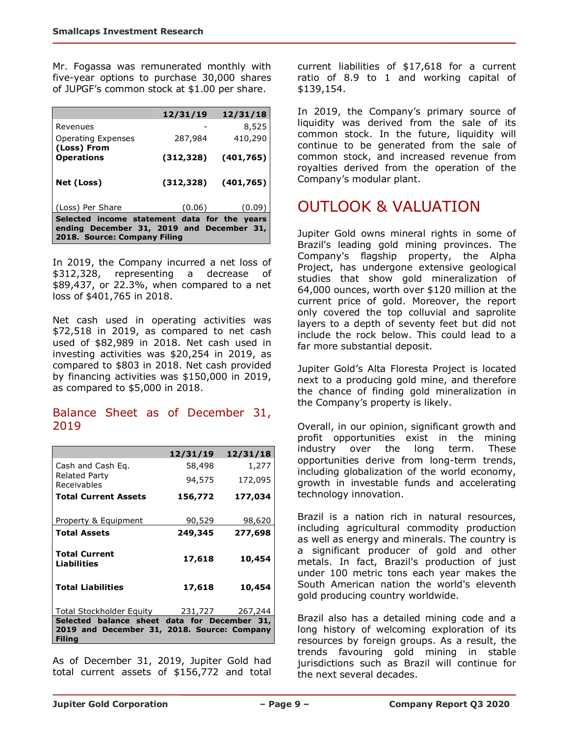Mr. Fogassa was remunerated monthly with five-year options to purchase 30,000 shares of JUPGF's common stock at \$1.00 per share.

|                                                                                                                           | 12/31/19   | 12/31/18   |  |
|---------------------------------------------------------------------------------------------------------------------------|------------|------------|--|
| Revenues                                                                                                                  |            | 8,525      |  |
| <b>Operating Expenses</b><br>(Loss) From                                                                                  | 287,984    | 410,290    |  |
| <b>Operations</b>                                                                                                         | (312, 328) | (401,765)  |  |
| Net (Loss)                                                                                                                | (312, 328) | (401, 765) |  |
| (Loss) Per Share                                                                                                          | (0.06)     | (0.09)     |  |
| Selected income statement data for the years<br>ending December 31, 2019 and December 31,<br>2018. Source: Company Filing |            |            |  |

In 2019, the Company incurred a net loss of \$312,328, representing a decrease of \$89,437, or 22.3%, when compared to a net loss of \$401,765 in 2018.

Net cash used in operating activities was \$72,518 in 2019, as compared to net cash used of \$82,989 in 2018. Net cash used in investing activities was \$20,254 in 2019, as compared to \$803 in 2018. Net cash provided by financing activities was \$150,000 in 2019, as compared to \$5,000 in 2018.

#### Balance Sheet as of December 31, 2019

|                                                       | 12/31/19 | 12/31/18 |  |
|-------------------------------------------------------|----------|----------|--|
| Cash and Cash Eq.                                     | 58,498   | 1,277    |  |
| Related Party<br>Receivables                          | 94,575   | 172,095  |  |
| <b>Total Current Assets</b>                           | 156,772  | 177,034  |  |
|                                                       |          |          |  |
| Property & Equipment                                  | 90,529   | 98,620   |  |
| <b>Total Assets</b>                                   | 249,345  | 277,698  |  |
| <b>Total Current</b>                                  | 17,618   | 10,454   |  |
| <b>Liabilities</b>                                    |          |          |  |
| <b>Total Liabilities</b>                              | 17,618   | 10,454   |  |
| Total Stockholder Equity                              | 231,727  | 267,244  |  |
| Selected balance sheet data for December 31,          |          |          |  |
| 2019 and December 31, 2018. Source: Company<br>Filing |          |          |  |

As of December 31, 2019, Jupiter Gold had total current assets of \$156,772 and total current liabilities of \$17,618 for a current ratio of 8.9 to 1 and working capital of \$139,154.

In 2019, the Company's primary source of liquidity was derived from the sale of its common stock. In the future, liquidity will continue to be generated from the sale of common stock, and increased revenue from royalties derived from the operation of the Company's modular plant.

# OUTLOOK & VALUATION

Jupiter Gold owns mineral rights in some of Brazil's leading gold mining provinces. The Company's flagship property, the Alpha Project, has undergone extensive geological studies that show gold mineralization of 64,000 ounces, worth over \$120 million at the current price of gold. Moreover, the report only covered the top colluvial and saprolite layers to a depth of seventy feet but did not include the rock below. This could lead to a far more substantial deposit.

Jupiter Gold's Alta Floresta Project is located next to a producing gold mine, and therefore the chance of finding gold mineralization in the Company's property is likely.

Overall, in our opinion, significant growth and profit opportunities exist in the mining industry over the long term. These opportunities derive from long-term trends, including globalization of the world economy, growth in investable funds and accelerating technology innovation.

Brazil is a nation rich in natural resources, including agricultural commodity production as well as energy and minerals. The country is a significant producer of gold and other metals. In fact, Brazil's production of just under 100 metric tons each year makes the South American nation the world's eleventh gold producing country worldwide.

Brazil also has a detailed mining code and a long history of welcoming exploration of its resources by foreign groups. As a result, the trends favouring gold mining in stable jurisdictions such as Brazil will continue for the next several decades.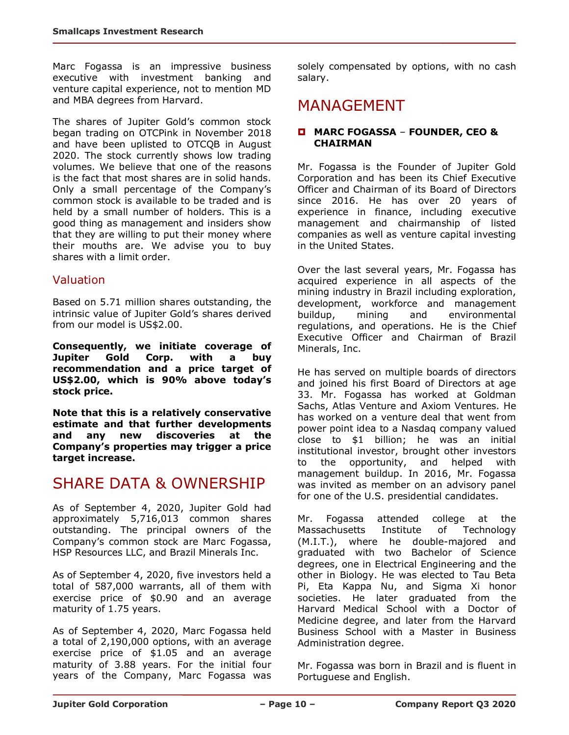Marc Fogassa is an impressive business executive with investment banking and venture capital experience, not to mention MD and MBA degrees from Harvard.

The shares of Jupiter Gold's common stock began trading on OTCPink in November 2018 and have been uplisted to OTCQB in August 2020. The stock currently shows low trading volumes. We believe that one of the reasons is the fact that most shares are in solid hands. Only a small percentage of the Company's common stock is available to be traded and is held by a small number of holders. This is a good thing as management and insiders show that they are willing to put their money where their mouths are. We advise you to buy shares with a limit order.

#### Valuation

Based on 5.71 million shares outstanding, the intrinsic value of Jupiter Gold's shares derived from our model is US\$2.00.

**Consequently, we initiate coverage of Jupiter Gold Corp. with a buy recommendation and a price target of US\$2.00, which is 90% above today's stock price.** 

**Note that this is a relatively conservative estimate and that further developments and any new discoveries at the Company's properties may trigger a price target increase.**

### SHARE DATA & OWNERSHIP

As of September 4, 2020, Jupiter Gold had approximately 5,716,013 common shares outstanding. The principal owners of the Company's common stock are Marc Fogassa, HSP Resources LLC, and Brazil Minerals Inc.

As of September 4, 2020, five investors held a total of 587,000 warrants, all of them with exercise price of \$0.90 and an average maturity of 1.75 years.

As of September 4, 2020, Marc Fogassa held a total of 2,190,000 options, with an average exercise price of \$1.05 and an average maturity of 3.88 years. For the initial four years of the Company, Marc Fogassa was solely compensated by options, with no cash salary.

### MANAGEMENT

#### **MARC FOGASSA** – **FOUNDER, CEO & CHAIRMAN**

Mr. Fogassa is the Founder of Jupiter Gold Corporation and has been its Chief Executive Officer and Chairman of its Board of Directors since 2016. He has over 20 years of experience in finance, including executive management and chairmanship of listed companies as well as venture capital investing in the United States.

Over the last several years, Mr. Fogassa has acquired experience in all aspects of the mining industry in Brazil including exploration, development, workforce and management buildup, mining and environmental regulations, and operations. He is the Chief Executive Officer and Chairman of Brazil Minerals, Inc.

He has served on multiple boards of directors and joined his first Board of Directors at age 33. Mr. Fogassa has worked at Goldman Sachs, Atlas Venture and Axiom Ventures. He has worked on a venture deal that went from power point idea to a Nasdaq company valued close to \$1 billion; he was an initial institutional investor, brought other investors to the opportunity, and helped with management buildup. In 2016, Mr. Fogassa was invited as member on an advisory panel for one of the U.S. presidential candidates.

Mr. Fogassa attended college at the Massachusetts Institute of Technology (M.I.T.), where he double-majored and graduated with two Bachelor of Science degrees, one in Electrical Engineering and the other in Biology. He was elected to Tau Beta Pi, Eta Kappa Nu, and Sigma Xi honor societies. He later graduated from the Harvard Medical School with a Doctor of Medicine degree, and later from the Harvard Business School with a Master in Business Administration degree.

Mr. Fogassa was born in Brazil and is fluent in Portuguese and English.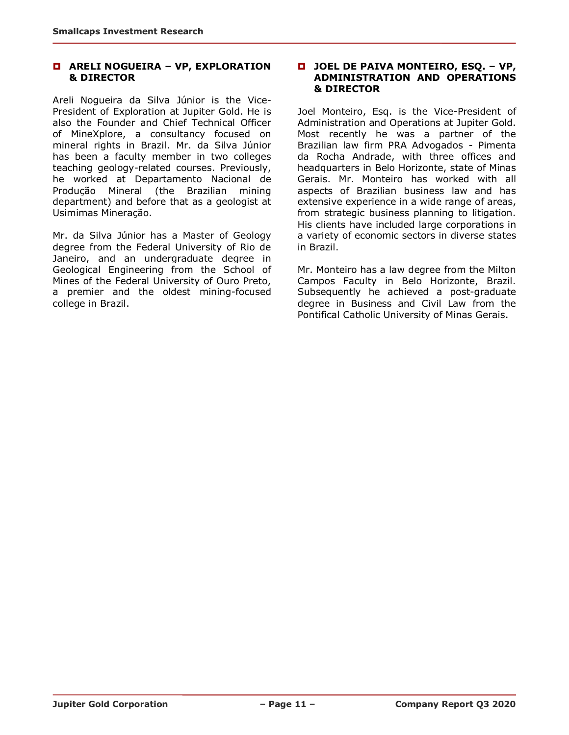#### **ARELI NOGUEIRA – VP, EXPLORATION & DIRECTOR**

Areli Nogueira da Silva Júnior is the Vice-President of Exploration at Jupiter Gold. He is also the Founder and Chief Technical Officer of MineXplore, a consultancy focused on mineral rights in Brazil. Mr. da Silva Júnior has been a faculty member in two colleges teaching geology-related courses. Previously, he worked at Departamento Nacional de Produção Mineral (the Brazilian mining department) and before that as a geologist at Usimimas Mineração.

Mr. da Silva Júnior has a Master of Geology degree from the Federal University of Rio de Janeiro, and an undergraduate degree in Geological Engineering from the School of Mines of the Federal University of Ouro Preto, a premier and the oldest mining-focused college in Brazil.

#### **JOEL DE PAIVA MONTEIRO, ESQ. – VP, ADMINISTRATION AND OPERATIONS & DIRECTOR**

Joel Monteiro, Esq. is the Vice-President of Administration and Operations at Jupiter Gold. Most recently he was a partner of the Brazilian law firm PRA Advogados - Pimenta da Rocha Andrade, with three offices and headquarters in Belo Horizonte, state of Minas Gerais. Mr. Monteiro has worked with all aspects of Brazilian business law and has extensive experience in a wide range of areas, from strategic business planning to litigation. His clients have included large corporations in a variety of economic sectors in diverse states in Brazil.

Mr. Monteiro has a law degree from the Milton Campos Faculty in Belo Horizonte, Brazil. Subsequently he achieved a post-graduate degree in Business and Civil Law from the Pontifical Catholic University of Minas Gerais.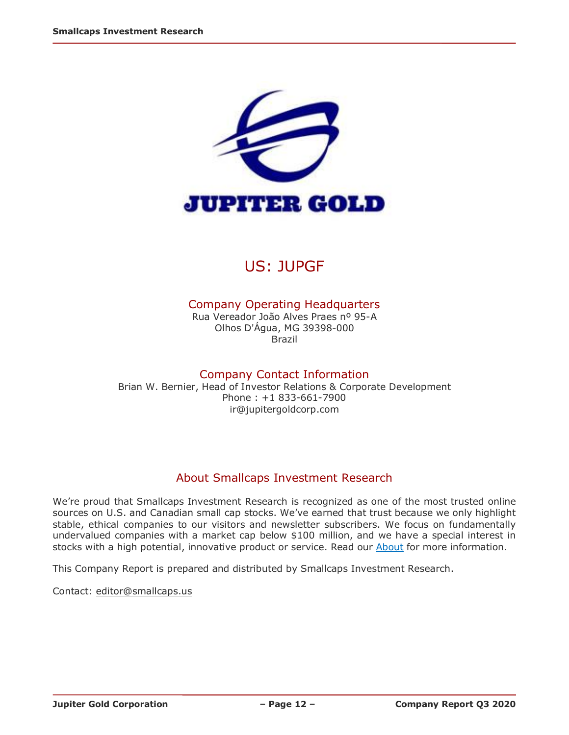

# US: JUPGF

#### Company Operating Headquarters

Rua Vereador João Alves Praes nº 95-A Olhos D'Água, MG 39398-000 Brazil

Company Contact Information Brian W. Bernier, Head of Investor Relations & Corporate Development Phone : +1 833-661-7900 ir@jupitergoldcorp.com

### About Smallcaps Investment Research

We're proud that Smallcaps Investment Research is recognized as one of the most trusted online sources on U.S. and Canadian small cap stocks. We've earned that trust because we only highlight stable, ethical companies to our visitors and newsletter subscribers. We focus on fundamentally undervalued companies with a market cap below \$100 million, and we have a special interest in stocks with a high potential, innovative product or service. Read our [About](http://smallcaps.us/about) for more information.

This Company Report is prepared and distributed by Smallcaps Investment Research.

Contact: [editor@smallcaps.us](mailto:editor@smallcaps.us)